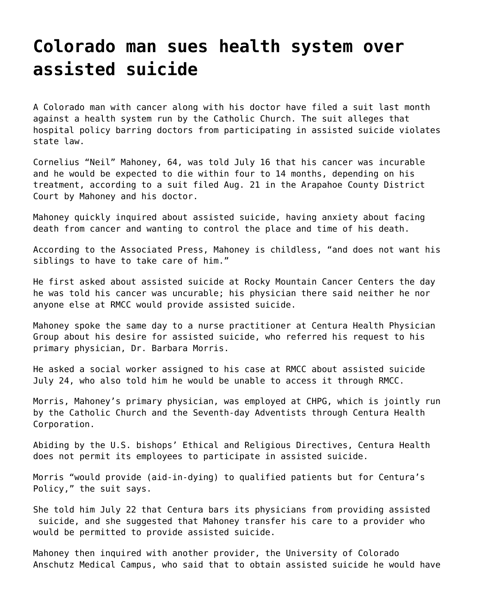## **[Colorado man sues health system over](https://grandinmedia.ca/colorado-man-sues-health-system-over-assisted-suicide/) [assisted suicide](https://grandinmedia.ca/colorado-man-sues-health-system-over-assisted-suicide/)**

A Colorado man with cancer along with his doctor have filed a suit last month against a health system run by the Catholic Church. The suit alleges that hospital policy barring doctors from participating in assisted suicide violates state law.

Cornelius "Neil" Mahoney, 64, was told July 16 that his cancer was incurable and he would be expected to die within four to 14 months, depending on his treatment, according to [a suit filed Aug. 21](https://www.documentcloud.org/documents/6362268-Mahoney-Morris-v-Centura.html) in the Arapahoe County District Court by Mahoney and his doctor.

Mahoney quickly inquired about assisted suicide, having anxiety about facing death from cancer and wanting to control the place and time of his death.

According to the Associated Press, Mahoney is childless, "and does not want his siblings to have to take care of him."

He first asked about assisted suicide at Rocky Mountain Cancer Centers the day he was told his cancer was uncurable; his physician there said neither he nor anyone else at RMCC would provide assisted suicide.

Mahoney spoke the same day to a nurse practitioner at Centura Health Physician Group about his desire for assisted suicide, who referred his request to his primary physician, Dr. Barbara Morris.

He asked a social worker assigned to his case at RMCC about assisted suicide July 24, who also told him he would be unable to access it through RMCC.

Morris, Mahoney's primary physician, was employed at CHPG, which is jointly run by the Catholic Church and the Seventh-day Adventists through Centura Health Corporation.

Abiding by the U.S. bishops' [Ethical and Religious Directives](http://www.usccb.org/issues-and-action/human-life-and-dignity/health-care/upload/Ethical-Religious-Directives-Catholic-Health-Care-Services-fifth-edition-2009.pdf), Centura Health does not permit its employees to participate in assisted suicide.

Morris "would provide (aid-in-dying) to qualified patients but for Centura's Policy," the suit says.

She told him July 22 that Centura bars its physicians from providing assisted suicide, and she suggested that Mahoney transfer his care to a provider who would be permitted to provide assisted suicide.

Mahoney then inquired with another provider, the University of Colorado Anschutz Medical Campus, who said that to obtain assisted suicide he would have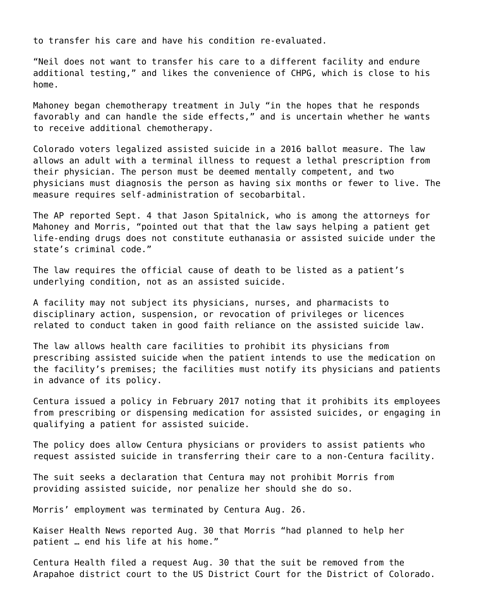to transfer his care and have his condition re-evaluated.

"Neil does not want to transfer his care to a different facility and endure additional testing," and likes the convenience of CHPG, which is close to his home.

Mahoney began chemotherapy treatment in July "in the hopes that he responds favorably and can handle the side effects," and is uncertain whether he wants to receive additional chemotherapy.

Colorado voters legalized assisted suicide in a 2016 ballot measure. The law allows an adult with a terminal illness to request a lethal prescription from their physician. The person must be deemed mentally competent, and two physicians must diagnosis the person as having six months or fewer to live. The measure requires self-administration of secobarbital.

The AP reported Sept. 4 that Jason Spitalnick, who is among the attorneys for Mahoney and Morris, "pointed out that that the law says helping a patient get life-ending drugs does not constitute euthanasia or assisted suicide under the state's criminal code."

The law requires the official cause of death to be listed as a patient's underlying condition, not as an assisted suicide.

A facility may not subject its physicians, nurses, and pharmacists to disciplinary action, suspension, or revocation of privileges or licences related to conduct taken in good faith reliance on the assisted suicide law.

The law allows health care facilities to prohibit its physicians from prescribing assisted suicide when the patient intends to use the medication on the facility's premises; the facilities must notify its physicians and patients in advance of its policy.

Centura issued a policy in February 2017 noting that it prohibits its employees from prescribing or dispensing medication for assisted suicides, or engaging in qualifying a patient for assisted suicide.

The policy does allow Centura physicians or providers to assist patients who request assisted suicide in transferring their care to a non-Centura facility.

The suit seeks a declaration that Centura may not prohibit Morris from providing assisted suicide, nor penalize her should she do so.

Morris' employment was terminated by Centura Aug. 26.

Kaiser Health News reported Aug. 30 that Morris "had planned to help her patient … end his life at his home."

Centura Health [filed a request Aug. 30](https://www.documentcloud.org/documents/6367254-Centura-Removal.html) that the suit be removed from the Arapahoe district court to the US District Court for the District of Colorado.